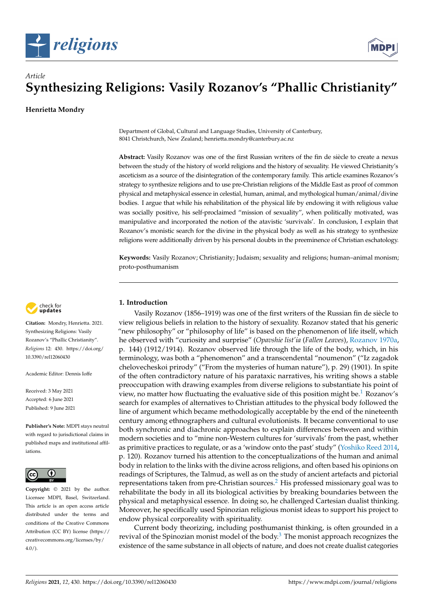



# **Synthesizing Religions: Vasily Rozanov's "Phallic Christianity"**

**Henrietta Mondry**

*Article*

Department of Global, Cultural and Language Studies, University of Canterbury, 8041 Christchurch, New Zealand; henrietta.mondry@canterbury.ac.nz

**Abstract:** Vasily Rozanov was one of the first Russian writers of the fin de siècle to create a nexus between the study of the history of world religions and the history of sexuality. He viewed Christianity's asceticism as a source of the disintegration of the contemporary family. This article examines Rozanov's strategy to synthesize religions and to use pre-Christian religions of the Middle East as proof of common physical and metaphysical essence in celestial, human, animal, and mythological human/animal/divine bodies. I argue that while his rehabilitation of the physical life by endowing it with religious value was socially positive, his self-proclaimed "mission of sexuality", when politically motivated, was manipulative and incorporated the notion of the atavistic 'survivals'. In conclusion, I explain that Rozanov's monistic search for the divine in the physical body as well as his strategy to synthesize religions were additionally driven by his personal doubts in the preeminence of Christian eschatology.

**Keywords:** Vasily Rozanov; Christianity; Judaism; sexuality and religions; human–animal monism; proto-posthumanism



**Citation:** Mondry, Henrietta. 2021. Synthesizing Religions: Vasily Rozanov's "Phallic Christianity". *Religions* 12: 430. [https://doi.org/](https://doi.org/10.3390/rel12060430) [10.3390/rel12060430](https://doi.org/10.3390/rel12060430)

Academic Editor: Dennis Ioffe

Received: 3 May 2021 Accepted: 6 June 2021 Published: 9 June 2021

**Publisher's Note:** MDPI stays neutral with regard to jurisdictional claims in published maps and institutional affiliations.



**Copyright:** © 2021 by the author. Licensee MDPI, Basel, Switzerland. This article is an open access article distributed under the terms and conditions of the Creative Commons Attribution (CC BY) license (https:/[/](https://creativecommons.org/licenses/by/4.0/) [creativecommons.org/licenses/by/](https://creativecommons.org/licenses/by/4.0/)  $4.0/$ ).

# **1. Introduction**

Vasily Rozanov (1856–1919) was one of the first writers of the Russian fin de siècle to view religious beliefs in relation to the history of sexuality. Rozanov stated that his generic "new philosophy" or "philosophy of life" is based on the phenomenon of life itself, which he observed with "curiosity and surprise" (*Opavshie list'ia* (*Fallen Leaves*), [Rozanov](#page-9-0) [1970a,](#page-9-0) p. 144) (1912/1914). Rozanov observed life through the life of the body, which, in his terminology, was both a "phenomenon" and a transcendental "noumenon" ("Iz zagadok chelovecheskoi prirody" ("From the mysteries of human nature"), p. 29) (1901). In spite of the often contradictory nature of his parataxic narratives, his writing shows a stable preoccupation with drawing examples from diverse religions to substantiate his point of view, no matter how fluctuating the evaluative side of this position might be.<sup>[1](#page-8-0)</sup> Rozanov's search for examples of alternatives to Christian attitudes to the physical body followed the line of argument which became methodologically acceptable by the end of the nineteenth century among ethnographers and cultural evolutionists. It became conventional to use both synchronic and diachronic approaches to explain differences between and within modern societies and to "mine non-Western cultures for 'survivals' from the past, whether as primitive practices to regulate, or as a 'window onto the past' study" [\(Yoshiko Reed](#page-10-0) [2014,](#page-10-0) p. 120). Rozanov turned his attention to the conceptualizations of the human and animal body in relation to the links with the divine across religions, and often based his opinions on readings of Scriptures, the Talmud, as well as on the study of ancient artefacts and pictorial representations taken from pre-Christian sources.[2](#page-8-1) His professed missionary goal was to rehabilitate the body in all its biological activities by breaking boundaries between the physical and metaphysical essence. In doing so, he challenged Cartesian dualist thinking. Moreover, he specifically used Spinozian religious monist ideas to support his project to endow physical corporeality with spirituality.

Current body theorizing, including posthumanist thinking, is often grounded in a revival of the Spinozian monist model of the body. $3$  The monist approach recognizes the existence of the same substance in all objects of nature, and does not create dualist categories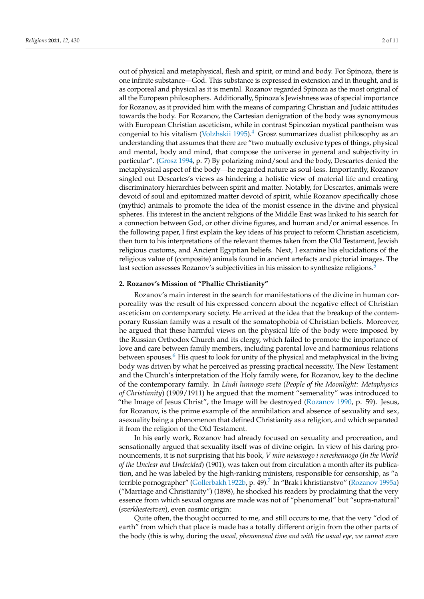out of physical and metaphysical, flesh and spirit, or mind and body. For Spinoza, there is one infinite substance—God. This substance is expressed in extension and in thought, and is as corporeal and physical as it is mental. Rozanov regarded Spinoza as the most original of all the European philosophers. Additionally, Spinoza's Jewishness was of special importance for Rozanov, as it provided him with the means of comparing Christian and Judaic attitudes towards the body. For Rozanov, the Cartesian denigration of the body was synonymous with European Christian asceticism, while in contrast Spinozian mystical pantheism was congenial to his vitalism [\(Volzhskii](#page-10-1) [1995\)](#page-10-1). $4$  Grosz summarizes dualist philosophy as an understanding that assumes that there are "two mutually exclusive types of things, physical and mental, body and mind, that compose the universe in general and subjectivity in particular". [\(Grosz](#page-9-1) [1994,](#page-9-1) p. 7) By polarizing mind/soul and the body, Descartes denied the metaphysical aspect of the body—he regarded nature as soul-less. Importantly, Rozanov singled out Descartes's views as hindering a holistic view of material life and creating discriminatory hierarchies between spirit and matter. Notably, for Descartes, animals were devoid of soul and epitomized matter devoid of spirit, while Rozanov specifically chose (mythic) animals to promote the idea of the monist essence in the divine and physical spheres. His interest in the ancient religions of the Middle East was linked to his search for a connection between God, or other divine figures, and human and/or animal essence. In the following paper, I first explain the key ideas of his project to reform Christian asceticism, then turn to his interpretations of the relevant themes taken from the Old Testament, Jewish religious customs, and Ancient Egyptian beliefs. Next, I examine his elucidations of the religious value of (composite) animals found in ancient artefacts and pictorial images. The last section assesses Rozanov's subjectivities in his mission to synthesize religions.<sup>[5](#page-9-2)</sup>

### **2. Rozanov's Mission of "Phallic Christianity"**

Rozanov's main interest in the search for manifestations of the divine in human corporeality was the result of his expressed concern about the negative effect of Christian asceticism on contemporary society. He arrived at the idea that the breakup of the contemporary Russian family was a result of the somatophobia of Christian beliefs. Moreover, he argued that these harmful views on the physical life of the body were imposed by the Russian Orthodox Church and its clergy, which failed to promote the importance of love and care between family members, including parental love and harmonious relations between spouses.<sup>[6](#page-9-3)</sup> His quest to look for unity of the physical and metaphysical in the living body was driven by what he perceived as pressing practical necessity. The New Testament and the Church's interpretation of the Holy family were, for Rozanov, key to the decline of the contemporary family. In *Liudi lunnogo sveta* (*People of the Moonlight: Metaphysics of Christianity*) (1909/1911) he argued that the moment "semenality" was introduced to "the Image of Jesus Christ", the Image will be destroyed [\(Rozanov](#page-9-4) [1990,](#page-9-4) p. 59). Jesus, for Rozanov, is the prime example of the annihilation and absence of sexuality and sex, asexuality being a phenomenon that defined Christianity as a religion, and which separated it from the religion of the Old Testament.

In his early work, Rozanov had already focused on sexuality and procreation, and sensationally argued that sexuality itself was of divine origin. In view of his daring pronouncements, it is not surprising that his book, *V mire neiasnogo i nereshennogo* (*In the World of the Unclear and Undecided*) (1901), was taken out from circulation a month after its publication, and he was labeled by the high-ranking ministers, responsible for censorship, as "a terrible pornographer" [\(Gollerbakh](#page-9-5) [1922b,](#page-9-5) p. 49).<sup>[7](#page-9-6)</sup> In "Brak i khristianstvo" [\(Rozanov](#page-9-7) [1995a\)](#page-9-7) ("Marriage and Christianity") (1898), he shocked his readers by proclaiming that the very essence from which sexual organs are made was not of "phenomenal" but "supra-natural" (*sverkhestestven*), even cosmic origin:

Quite often, the thought occurred to me, and still occurs to me, that the very "clod of earth" from which that place is made has a totally different origin from the other parts of the body (this is why, during the *usual, phenomenal time and with the usual eye, we cannot even*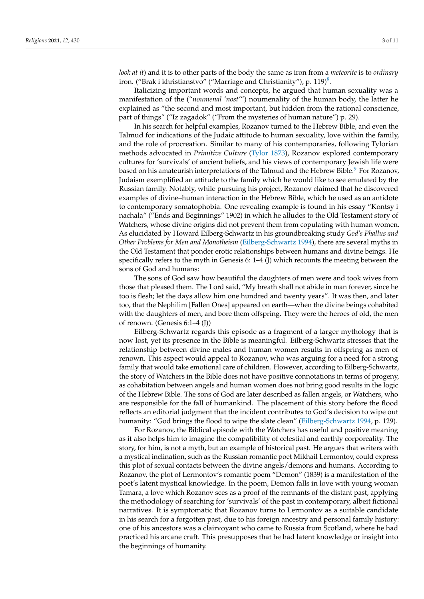*look at it*) and it is to other parts of the body the same as iron from a *meteorite* is to *ordinary* iron. ("Brak i khristianstvo" ("Marriage and Christianity"), p. 119) $^8$  $^8$ .

Italicizing important words and concepts, he argued that human sexuality was a manifestation of the ("*noumenal 'nost'*") noumenality of the human body, the latter he explained as "the second and most important, but hidden from the rational conscience, part of things" ("Iz zagadok" ("From the mysteries of human nature") p. 29).

In his search for helpful examples, Rozanov turned to the Hebrew Bible, and even the Talmud for indications of the Judaic attitude to human sexuality, love within the family, and the role of procreation. Similar to many of his contemporaries, following Tylorian methods advocated in *Primitive Culture* [\(Tylor](#page-10-2) [1873\)](#page-10-2), Rozanov explored contemporary cultures for 'survivals' of ancient beliefs, and his views of contemporary Jewish life were based on his amateurish interpretations of the Talmud and the Hebrew Bible.<sup>[9](#page-9-9)</sup> For Rozanov, Judaism exemplified an attitude to the family which he would like to see emulated by the Russian family. Notably, while pursuing his project, Rozanov claimed that he discovered examples of divine–human interaction in the Hebrew Bible, which he used as an antidote to contemporary somatophobia. One revealing example is found in his essay "Kontsy i nachala" ("Ends and Beginnings" 1902) in which he alludes to the Old Testament story of Watchers, whose divine origins did not prevent them from copulating with human women. As elucidated by Howard Eilberg-Schwartz in his groundbreaking study *God's Phallus and Other Problems for Men and Monotheism* [\(Eilberg-Schwartz](#page-9-10) [1994\)](#page-9-10), there are several myths in the Old Testament that ponder erotic relationships between humans and divine beings. He specifically refers to the myth in Genesis 6: 1–4 (J) which recounts the meeting between the sons of God and humans:

The sons of God saw how beautiful the daughters of men were and took wives from those that pleased them. The Lord said, "My breath shall not abide in man forever, since he too is flesh; let the days allow him one hundred and twenty years". It was then, and later too, that the Nephilim [Fallen Ones] appeared on earth—when the divine beings cohabited with the daughters of men, and bore them offspring. They were the heroes of old, the men of renown. (Genesis 6:1–4 (J))

Eilberg-Schwartz regards this episode as a fragment of a larger mythology that is now lost, yet its presence in the Bible is meaningful. Eilberg-Schwartz stresses that the relationship between divine males and human women results in offspring as men of renown. This aspect would appeal to Rozanov, who was arguing for a need for a strong family that would take emotional care of children. However, according to Eilberg-Schwartz, the story of Watchers in the Bible does not have positive connotations in terms of progeny, as cohabitation between angels and human women does not bring good results in the logic of the Hebrew Bible. The sons of God are later described as fallen angels, or Watchers, who are responsible for the fall of humankind. The placement of this story before the flood reflects an editorial judgment that the incident contributes to God's decision to wipe out humanity: "God brings the flood to wipe the slate clean" [\(Eilberg-Schwartz](#page-9-10) [1994,](#page-9-10) p. 129).

For Rozanov, the Biblical episode with the Watchers has useful and positive meaning as it also helps him to imagine the compatibility of celestial and earthly corporeality. The story, for him, is not a myth, but an example of historical past. He argues that writers with a mystical inclination, such as the Russian romantic poet Mikhail Lermontov, could express this plot of sexual contacts between the divine angels/demons and humans. According to Rozanov, the plot of Lermontov's romantic poem "Demon" (1839) is a manifestation of the poet's latent mystical knowledge. In the poem, Demon falls in love with young woman Tamara, a love which Rozanov sees as a proof of the remnants of the distant past, applying the methodology of searching for 'survivals' of the past in contemporary, albeit fictional narratives. It is symptomatic that Rozanov turns to Lermontov as a suitable candidate in his search for a forgotten past, due to his foreign ancestry and personal family history: one of his ancestors was a clairvoyant who came to Russia from Scotland, where he had practiced his arcane craft. This presupposes that he had latent knowledge or insight into the beginnings of humanity.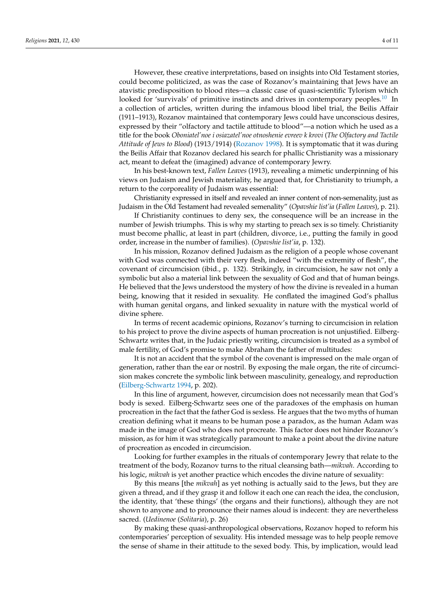However, these creative interpretations, based on insights into Old Testament stories, could become politicized, as was the case of Rozanov's maintaining that Jews have an atavistic predisposition to blood rites—a classic case of quasi-scientific Tylorism which looked for 'survivals' of primitive instincts and drives in contemporary peoples.<sup>[10](#page-9-11)</sup> In a collection of articles, written during the infamous blood libel trial, the Beilis Affair (1911–1913), Rozanov maintained that contemporary Jews could have unconscious desires, expressed by their "olfactory and tactile attitude to blood"—a notion which he used as a title for the book *Oboniatel'noe i osiazatel'noe otnoshenie evreev k krovi* (*The Olfactory and Tactile Attitude of Jews to Blood*) (1913/1914) [\(Rozanov](#page-9-12) [1998\)](#page-9-12). It is symptomatic that it was during the Beilis Affair that Rozanov declared his search for phallic Christianity was a missionary act, meant to defeat the (imagined) advance of contemporary Jewry.

In his best-known text, *Fallen Leaves* (1913), revealing a mimetic underpinning of his views on Judaism and Jewish materiality, he argued that, for Christianity to triumph, a return to the corporeality of Judaism was essential:

Christianity expressed in itself and revealed an inner content of non-semenality, just as Judaism in the Old Testament had revealed semenality" (*Opavshie list'ia* (*Fallen Leaves*), p. 21).

If Christianity continues to deny sex, the consequence will be an increase in the number of Jewish triumphs. This is why my starting to preach sex is so timely. Christianity must become phallic, at least in part (children, divorce, i.e., putting the family in good order, increase in the number of families). (*Opavshie list'ia*, p. 132).

In his mission, Rozanov defined Judaism as the religion of a people whose covenant with God was connected with their very flesh, indeed "with the extremity of flesh", the covenant of circumcision (ibid., p. 132). Strikingly, in circumcision, he saw not only a symbolic but also a material link between the sexuality of God and that of human beings. He believed that the Jews understood the mystery of how the divine is revealed in a human being, knowing that it resided in sexuality. He conflated the imagined God's phallus with human genital organs, and linked sexuality in nature with the mystical world of divine sphere.

In terms of recent academic opinions, Rozanov's turning to circumcision in relation to his project to prove the divine aspects of human procreation is not unjustified. Eilberg-Schwartz writes that, in the Judaic priestly writing, circumcision is treated as a symbol of male fertility, of God's promise to make Abraham the father of multitudes:

It is not an accident that the symbol of the covenant is impressed on the male organ of generation, rather than the ear or nostril. By exposing the male organ, the rite of circumcision makes concrete the symbolic link between masculinity, genealogy, and reproduction [\(Eilberg-Schwartz](#page-9-10) [1994,](#page-9-10) p. 202).

In this line of argument, however, circumcision does not necessarily mean that God's body is sexed. Eilberg-Schwartz sees one of the paradoxes of the emphasis on human procreation in the fact that the father God is sexless. He argues that the two myths of human creation defining what it means to be human pose a paradox, as the human Adam was made in the image of God who does not procreate. This factor does not hinder Rozanov's mission, as for him it was strategically paramount to make a point about the divine nature of procreation as encoded in circumcision.

Looking for further examples in the rituals of contemporary Jewry that relate to the treatment of the body, Rozanov turns to the ritual cleansing bath—*mikvah*. According to his logic, *mikvah* is yet another practice which encodes the divine nature of sexuality:

By this means [the *mikvah*] as yet nothing is actually said to the Jews, but they are given a thread, and if they grasp it and follow it each one can reach the idea, the conclusion, the identity, that 'these things' (the organs and their functions), although they are not shown to anyone and to pronounce their names aloud is indecent: they are nevertheless sacred. (*Uedinenoe* (*Solitaria*), p. 26)

By making these quasi-anthropological observations, Rozanov hoped to reform his contemporaries' perception of sexuality. His intended message was to help people remove the sense of shame in their attitude to the sexed body. This, by implication, would lead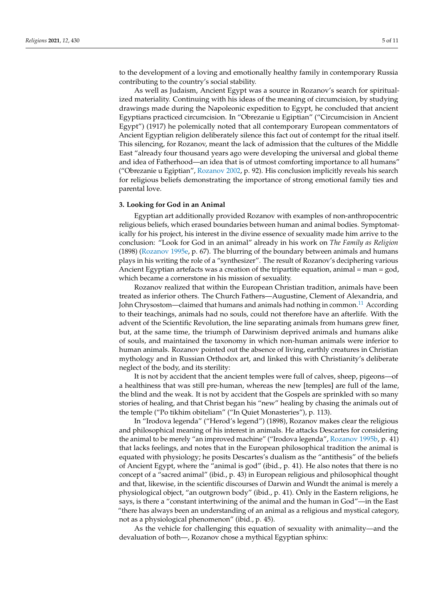to the development of a loving and emotionally healthy family in contemporary Russia contributing to the country's social stability.

As well as Judaism, Ancient Egypt was a source in Rozanov's search for spiritualized materiality. Continuing with his ideas of the meaning of circumcision, by studying drawings made during the Napoleonic expedition to Egypt, he concluded that ancient Egyptians practiced circumcision. In "Obrezanie u Egiptian" ("Circumcision in Ancient Egypt") (1917) he polemically noted that all contemporary European commentators of Ancient Egyptian religion deliberately silence this fact out of contempt for the ritual itself. This silencing, for Rozanov, meant the lack of admission that the cultures of the Middle East "already four thousand years ago were developing the universal and global theme and idea of Fatherhood—an idea that is of utmost comforting importance to all humans" ("Obrezanie u Egiptian", [Rozanov](#page-9-13) [2002,](#page-9-13) p. 92). His conclusion implicitly reveals his search for religious beliefs demonstrating the importance of strong emotional family ties and parental love.

#### **3. Looking for God in an Animal**

Egyptian art additionally provided Rozanov with examples of non-anthropocentric religious beliefs, which erased boundaries between human and animal bodies. Symptomatically for his project, his interest in the divine essence of sexuality made him arrive to the conclusion: "Look for God in an animal" already in his work on *The Family as Religion* (1898) [\(Rozanov](#page-9-14) [1995e,](#page-9-14) p. 67). The blurring of the boundary between animals and humans plays in his writing the role of a "synthesizer". The result of Rozanov's deciphering various Ancient Egyptian artefacts was a creation of the tripartite equation, animal  $=$  man  $=$  god, which became a cornerstone in his mission of sexuality.

Rozanov realized that within the European Christian tradition, animals have been treated as inferior others. The Church Fathers—Augustine, Clement of Alexandria, and John Chrysostom—claimed that humans and animals had nothing in common.<sup>[11](#page-9-15)</sup> According to their teachings, animals had no souls, could not therefore have an afterlife. With the advent of the Scientific Revolution, the line separating animals from humans grew finer, but, at the same time, the triumph of Darwinism deprived animals and humans alike of souls, and maintained the taxonomy in which non-human animals were inferior to human animals. Rozanov pointed out the absence of living, earthly creatures in Christian mythology and in Russian Orthodox art, and linked this with Christianity's deliberate neglect of the body, and its sterility:

It is not by accident that the ancient temples were full of calves, sheep, pigeons—of a healthiness that was still pre-human, whereas the new [temples] are full of the lame, the blind and the weak. It is not by accident that the Gospels are sprinkled with so many stories of healing, and that Christ began his "new" healing by chasing the animals out of the temple ("Po tikhim obiteliam" ("In Quiet Monasteries"), p. 113).

In "Irodova legenda" ("Herod's legend") (1898), Rozanov makes clear the religious and philosophical meaning of his interest in animals. He attacks Descartes for considering the animal to be merely "an improved machine" ("Irodova legenda", [Rozanov](#page-9-16) [1995b,](#page-9-16) p. 41) that lacks feelings, and notes that in the European philosophical tradition the animal is equated with physiology; he posits Descartes's dualism as the "antithesis" of the beliefs of Ancient Egypt, where the "animal is god" (ibid., p. 41). He also notes that there is no concept of a "sacred animal" (ibid., p. 43) in European religious and philosophical thought and that, likewise, in the scientific discourses of Darwin and Wundt the animal is merely a physiological object, "an outgrown body" (ibid., p. 41). Only in the Eastern religions, he says, is there a "constant intertwining of the animal and the human in God"—in the East "there has always been an understanding of an animal as a religious and mystical category, not as a physiological phenomenon" (ibid., p. 45).

As the vehicle for challenging this equation of sexuality with animality—and the devaluation of both—, Rozanov chose a mythical Egyptian sphinx: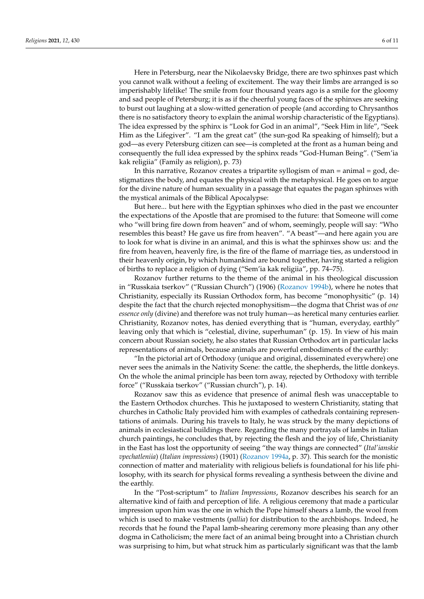Here in Petersburg, near the Nikolaevsky Bridge, there are two sphinxes past which you cannot walk without a feeling of excitement. The way their limbs are arranged is so imperishably lifelike! The smile from four thousand years ago is a smile for the gloomy and sad people of Petersburg; it is as if the cheerful young faces of the sphinxes are seeking to burst out laughing at a slow-witted generation of people (and according to Chrysanthos there is no satisfactory theory to explain the animal worship characteristic of the Egyptians). The idea expressed by the sphinx is "Look for God in an animal", "Seek Him in life", "Seek Him as the Lifegiver". "I am the great cat" (the sun-god Ra speaking of himself); but a god—as every Petersburg citizen can see—is completed at the front as a human being and consequently the full idea expressed by the sphinx reads "God-Human Being". ("Sem'ia kak religiia" (Family as religion), p. 73)

In this narrative, Rozanov creates a tripartite syllogism of man = animal = god, destigmatizes the body, and equates the physical with the metaphysical. He goes on to argue for the divine nature of human sexuality in a passage that equates the pagan sphinxes with the mystical animals of the Biblical Apocalypse:

But here... but here with the Egyptian sphinxes who died in the past we encounter the expectations of the Apostle that are promised to the future: that Someone will come who "will bring fire down from heaven" and of whom, seemingly, people will say: "Who resembles this beast? He gave us fire from heaven". "A beast"—and here again you are to look for what is divine in an animal, and this is what the sphinxes show us: and the fire from heaven, heavenly fire, is the fire of the flame of marriage ties, as understood in their heavenly origin, by which humankind are bound together, having started a religion of births to replace a religion of dying ("Sem'ia kak religiia", pp. 74–75).

Rozanov further returns to the theme of the animal in his theological discussion in "Russkaia tserkov" ("Russian Church") (1906) [\(Rozanov](#page-9-17) [1994b\)](#page-9-17), where he notes that Christianity, especially its Russian Orthodox form, has become "monophysitic" (p. 14) despite the fact that the church rejected monophysitism—the dogma that Christ was of *one essence only* (divine) and therefore was not truly human—as heretical many centuries earlier. Christianity, Rozanov notes, has denied everything that is "human, everyday, earthly" leaving only that which is "celestial, divine, superhuman" (p. 15). In view of his main concern about Russian society, he also states that Russian Orthodox art in particular lacks representations of animals, because animals are powerful embodiments of the earthly:

"In the pictorial art of Orthodoxy (unique and original, disseminated everywhere) one never sees the animals in the Nativity Scene: the cattle, the shepherds, the little donkeys. On the whole the animal principle has been torn away, rejected by Orthodoxy with terrible force" ("Russkaia tserkov" ("Russian church"), p. 14).

Rozanov saw this as evidence that presence of animal flesh was unacceptable to the Eastern Orthodox churches. This he juxtaposed to western Christianity, stating that churches in Catholic Italy provided him with examples of cathedrals containing representations of animals. During his travels to Italy, he was struck by the many depictions of animals in ecclesiastical buildings there. Regarding the many portrayals of lambs in Italian church paintings, he concludes that, by rejecting the flesh and the joy of life, Christianity in the East has lost the opportunity of seeing "the way things are connected" (*Ital'ianskie vpechatleniia*) (*Italian impressions*) (1901) [\(Rozanov](#page-9-18) [1994a,](#page-9-18) p. 37). This search for the monistic connection of matter and materiality with religious beliefs is foundational for his life philosophy, with its search for physical forms revealing a synthesis between the divine and the earthly.

In the "Post-scriptum" to *Italian Impressions*, Rozanov describes his search for an alternative kind of faith and perception of life. A religious ceremony that made a particular impression upon him was the one in which the Pope himself shears a lamb, the wool from which is used to make vestments (*pallia*) for distribution to the archbishops. Indeed, he records that he found the Papal lamb-shearing ceremony more pleasing than any other dogma in Catholicism; the mere fact of an animal being brought into a Christian church was surprising to him, but what struck him as particularly significant was that the lamb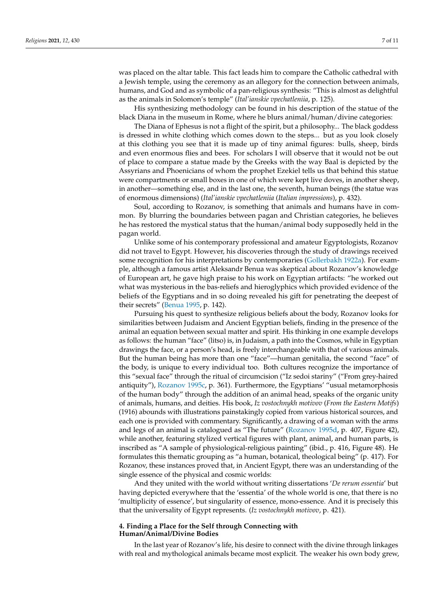was placed on the altar table. This fact leads him to compare the Catholic cathedral with a Jewish temple, using the ceremony as an allegory for the connection between animals, humans, and God and as symbolic of a pan-religious synthesis: "This is almost as delightful as the animals in Solomon's temple" (*Ital'ianskie vpechatleniia*, p. 125).

His synthesizing methodology can be found in his description of the statue of the black Diana in the museum in Rome, where he blurs animal/human/divine categories:

The Diana of Ephesus is not a flight of the spirit, but a philosophy... The black goddess is dressed in white clothing which comes down to the steps... but as you look closely at this clothing you see that it is made up of tiny animal figures: bulls, sheep, birds and even enormous flies and bees. For scholars I will observe that it would not be out of place to compare a statue made by the Greeks with the way Baal is depicted by the Assyrians and Phoenicians of whom the prophet Ezekiel tells us that behind this statue were compartments or small boxes in one of which were kept live doves, in another sheep, in another—something else, and in the last one, the seventh, human beings (the statue was of enormous dimensions) (*Ital'ianskie vpechatleniia* (*Italian impressions*), p. 432).

Soul, according to Rozanov, is something that animals and humans have in common. By blurring the boundaries between pagan and Christian categories, he believes he has restored the mystical status that the human/animal body supposedly held in the pagan world.

Unlike some of his contemporary professional and amateur Egyptologists, Rozanov did not travel to Egypt. However, his discoveries through the study of drawings received some recognition for his interpretations by contemporaries [\(Gollerbakh](#page-9-19) [1922a\)](#page-9-19). For example, although a famous artist Aleksandr Benua was skeptical about Rozanov's knowledge of European art, he gave high praise to his work on Egyptian artifacts: "he worked out what was mysterious in the bas-reliefs and hieroglyphics which provided evidence of the beliefs of the Egyptians and in so doing revealed his gift for penetrating the deepest of their secrets" [\(Benua](#page-9-20) [1995,](#page-9-20) p. 142).

Pursuing his quest to synthesize religious beliefs about the body, Rozanov looks for similarities between Judaism and Ancient Egyptian beliefs, finding in the presence of the animal an equation between sexual matter and spirit. His thinking in one example develops as follows: the human "face" (litso) is, in Judaism, a path into the Cosmos, while in Egyptian drawings the face, or a person's head, is freely interchangeable with that of various animals. But the human being has more than one "face"—human genitalia, the second "face" of the body, is unique to every individual too. Both cultures recognize the importance of this "sexual face" through the ritual of circumcision ("Iz sedoi stariny" ("From grey-haired antiquity"), [Rozanov](#page-9-21) [1995c,](#page-9-21) p. 361). Furthermore, the Egyptians' "usual metamorphosis of the human body" through the addition of an animal head, speaks of the organic unity of animals, humans, and deities. His book, *Iz vostochnykh motivov* (*From the Eastern Motifs*) (1916) abounds with illustrations painstakingly copied from various historical sources, and each one is provided with commentary. Significantly, a drawing of a woman with the arms and legs of an animal is catalogued as "The future" [\(Rozanov](#page-9-22) [1995d,](#page-9-22) p. 407, Figure 42), while another, featuring stylized vertical figures with plant, animal, and human parts, is inscribed as "A sample of physiological-religious painting" (ibid., p. 416, Figure 48). He formulates this thematic grouping as "a human, botanical, theological being" (p. 417). For Rozanov, these instances proved that, in Ancient Egypt, there was an understanding of the single essence of the physical and cosmic worlds:

And they united with the world without writing dissertations '*De rerum essentia*' but having depicted everywhere that the 'essentia' of the whole world is one, that there is no 'multiplicity of essence', but singularity of essence, mono-essence. And it is precisely this that the universality of Egypt represents. (*Iz vostochnykh motivov*, p. 421).

#### **4. Finding a Place for the Self through Connecting with Human/Animal/Divine Bodies**

In the last year of Rozanov's life, his desire to connect with the divine through linkages with real and mythological animals became most explicit. The weaker his own body grew,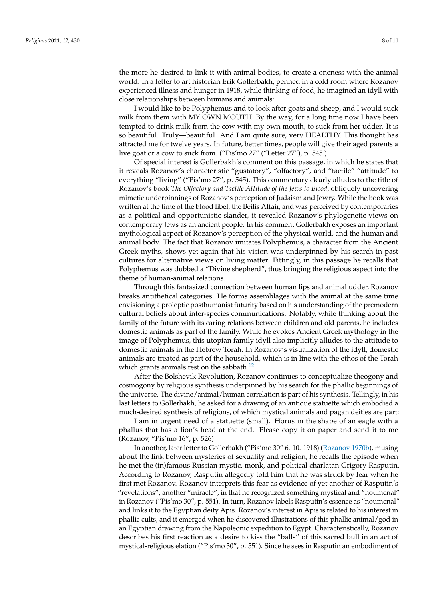the more he desired to link it with animal bodies, to create a oneness with the animal world. In a letter to art historian Erik Gollerbakh, penned in a cold room where Rozanov experienced illness and hunger in 1918, while thinking of food, he imagined an idyll with close relationships between humans and animals:

I would like to be Polyphemus and to look after goats and sheep, and I would suck milk from them with MY OWN MOUTH. By the way, for a long time now I have been tempted to drink milk from the cow with my own mouth, to suck from her udder. It is so beautiful. Truly—beautiful. And I am quite sure, very HEALTHY. This thought has attracted me for twelve years. In future, better times, people will give their aged parents a live goat or a cow to suck from. ("Pis'mo 27" ("Letter 27"), p. 545.)

Of special interest is Gollerbakh's comment on this passage, in which he states that it reveals Rozanov's characteristic "gustatory", "olfactory", and "tactile" "attitude" to everything "living" ("Pis'mo 27", p. 545). This commentary clearly alludes to the title of Rozanov's book *The Olfactory and Tactile Attitude of the Jews to Blood*, obliquely uncovering mimetic underpinnings of Rozanov's perception of Judaism and Jewry. While the book was written at the time of the blood libel, the Beilis Affair, and was perceived by contemporaries as a political and opportunistic slander, it revealed Rozanov's phylogenetic views on contemporary Jews as an ancient people. In his comment Gollerbakh exposes an important mythological aspect of Rozanov's perception of the physical world, and the human and animal body. The fact that Rozanov imitates Polyphemus, a character from the Ancient Greek myths, shows yet again that his vision was underpinned by his search in past cultures for alternative views on living matter. Fittingly, in this passage he recalls that Polyphemus was dubbed a "Divine shepherd", thus bringing the religious aspect into the theme of human-animal relations.

Through this fantasized connection between human lips and animal udder, Rozanov breaks antithetical categories. He forms assemblages with the animal at the same time envisioning a proleptic posthumanist futurity based on his understanding of the premodern cultural beliefs about inter-species communications. Notably, while thinking about the family of the future with its caring relations between children and old parents, he includes domestic animals as part of the family. While he evokes Ancient Greek mythology in the image of Polyphemus, this utopian family idyll also implicitly alludes to the attitude to domestic animals in the Hebrew Torah. In Rozanov's visualization of the idyll, domestic animals are treated as part of the household, which is in line with the ethos of the Torah which grants animals rest on the sabbath. $12$ 

After the Bolshevik Revolution, Rozanov continues to conceptualize theogony and cosmogony by religious synthesis underpinned by his search for the phallic beginnings of the universe. The divine/animal/human correlation is part of his synthesis. Tellingly, in his last letters to Gollerbakh, he asked for a drawing of an antique statuette which embodied a much-desired synthesis of religions, of which mystical animals and pagan deities are part:

I am in urgent need of a statuette (small). Horus in the shape of an eagle with a phallus that has a lion's head at the end. Please copy it on paper and send it to me (Rozanov, "Pis'mo 16", p. 526)

In another, later letter to Gollerbakh ("Pis'mo 30" 6. 10. 1918) [\(Rozanov](#page-9-24) [1970b\)](#page-9-24), musing about the link between mysteries of sexuality and religion, he recalls the episode when he met the (in)famous Russian mystic, monk, and political charlatan Grigory Rasputin. According to Rozanov, Rasputin allegedly told him that he was struck by fear when he first met Rozanov. Rozanov interprets this fear as evidence of yet another of Rasputin's "revelations", another "miracle", in that he recognized something mystical and "noumenal" in Rozanov ("Pis'mo 30", p. 551). In turn, Rozanov labels Rasputin's essence as "noumenal" and links it to the Egyptian deity Apis. Rozanov's interest in Apis is related to his interest in phallic cults, and it emerged when he discovered illustrations of this phallic animal/god in an Egyptian drawing from the Napoleonic expedition to Egypt. Characteristically, Rozanov describes his first reaction as a desire to kiss the "balls" of this sacred bull in an act of mystical-religious elation ("Pis'mo 30", p. 551). Since he sees in Rasputin an embodiment of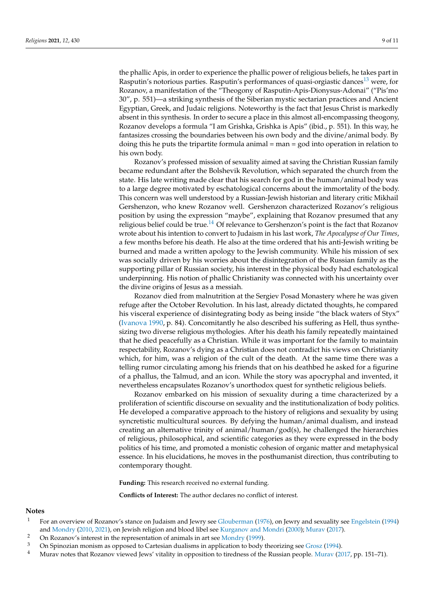the phallic Apis, in order to experience the phallic power of religious beliefs, he takes part in Rasputin's notorious parties. Rasputin's performances of quasi-orgiastic dances<sup>[13](#page-9-25)</sup> were, for Rozanov, a manifestation of the "Theogony of Rasputin-Apis-Dionysus-Adonai" ("Pis'mo 30", p. 551)—a striking synthesis of the Siberian mystic sectarian practices and Ancient Egyptian, Greek, and Judaic religions. Noteworthy is the fact that Jesus Christ is markedly absent in this synthesis. In order to secure a place in this almost all-encompassing theogony, Rozanov develops a formula "I am Grishka, Grishka is Apis" (ibid., p. 551). In this way, he fantasizes crossing the boundaries between his own body and the divine/animal body. By doing this he puts the tripartite formula animal = man = god into operation in relation to his own body.

Rozanov's professed mission of sexuality aimed at saving the Christian Russian family became redundant after the Bolshevik Revolution, which separated the church from the state. His late writing made clear that his search for god in the human/animal body was to a large degree motivated by eschatological concerns about the immortality of the body. This concern was well understood by a Russian-Jewish historian and literary critic Mikhail Gershenzon, who knew Rozanov well. Gershenzon characterized Rozanov's religious position by using the expression "maybe", explaining that Rozanov presumed that any religious belief could be true.<sup>[14](#page-9-26)</sup> Of relevance to Gershenzon's point is the fact that Rozanov wrote about his intention to convert to Judaism in his last work, *The Apocalypse of Our Times*, a few months before his death. He also at the time ordered that his anti-Jewish writing be burned and made a written apology to the Jewish community. While his mission of sex was socially driven by his worries about the disintegration of the Russian family as the supporting pillar of Russian society, his interest in the physical body had eschatological underpinning. His notion of phallic Christianity was connected with his uncertainty over the divine origins of Jesus as a messiah.

Rozanov died from malnutrition at the Sergiev Posad Monastery where he was given refuge after the October Revolution. In his last, already dictated thoughts, he compared his visceral experience of disintegrating body as being inside "the black waters of Styx" [\(Ivanova](#page-9-27) [1990,](#page-9-27) p. 84). Concomitantly he also described his suffering as Hell, thus synthesizing two diverse religious mythologies. After his death his family repeatedly maintained that he died peacefully as a Christian. While it was important for the family to maintain respectability, Rozanov's dying as a Christian does not contradict his views on Christianity which, for him, was a religion of the cult of the death. At the same time there was a telling rumor circulating among his friends that on his deathbed he asked for a figurine of a phallus, the Talmud, and an icon. While the story was apocryphal and invented, it nevertheless encapsulates Rozanov's unorthodox quest for synthetic religious beliefs.

Rozanov embarked on his mission of sexuality during a time characterized by a proliferation of scientific discourse on sexuality and the institutionalization of body politics. He developed a comparative approach to the history of religions and sexuality by using syncretistic multicultural sources. By defying the human/animal dualism, and instead creating an alternative trinity of animal/human/god(s), he challenged the hierarchies of religious, philosophical, and scientific categories as they were expressed in the body politics of his time, and promoted a monistic cohesion of organic matter and metaphysical essence. In his elucidations, he moves in the posthumanist direction, thus contributing to contemporary thought.

**Funding:** This research received no external funding.

**Conflicts of Interest:** The author declares no conflict of interest.

## **Notes**

- <span id="page-8-0"></span><sup>1</sup> For an overview of Rozanov's stance on Judaism and Jewry see [Glouberman](#page-9-28) [\(1976\)](#page-9-28), on Jewry and sexuality see [Engelstein](#page-9-29) [\(1994\)](#page-9-29) and [Mondry](#page-9-30) [\(2010,](#page-9-30) [2021\)](#page-9-31), on Jewish religion and blood libel see [Kurganov and Mondri](#page-9-32) [\(2000\)](#page-9-32); [Murav](#page-9-33) [\(2017\)](#page-9-33).
- <span id="page-8-1"></span><sup>2</sup> On Rozanov's interest in the representation of animals in art see [Mondry](#page-9-34) [\(1999\)](#page-9-34).
- <span id="page-8-2"></span>3 On Spinozian monism as opposed to Cartesian dualisms in application to body theorizing see [Grosz](#page-9-1) [\(1994\)](#page-9-1).<br>4 Muray pates that Begapev viewed Joye' vitality in eppecition to tiredness of the Bussian people Muray (20
- <span id="page-8-3"></span><sup>4</sup> Murav notes that Rozanov viewed Jews' vitality in opposition to tiredness of the Russian people. [Murav](#page-9-33) [\(2017,](#page-9-33) pp. 151–71).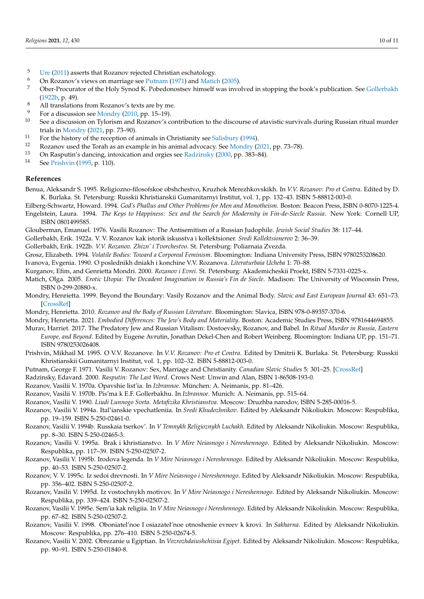- <span id="page-9-2"></span> $5$  [Ure](#page-10-3) [\(2011\)](#page-10-3) asserts that Rozanov rejected Christian eschatology.<br>
On Bozanov's views on marriage see Butnam (1971) and Matio
- <span id="page-9-3"></span><sup>6</sup> On Rozanov's views on marriage see [Putnam](#page-9-35) [\(1971\)](#page-9-35) and [Matich](#page-9-36) [\(2005\)](#page-9-36).
- <span id="page-9-6"></span><sup>7</sup> Ober-Procurator of the Holy Synod K. Pobedonostsev himself was involved in stopping the book's publication. See [Gollerbakh](#page-9-5) [\(1922b,](#page-9-5) p. 49).
- <span id="page-9-8"></span>8 All translations from Rozanov's texts are by me.
- <span id="page-9-9"></span> $^{9}$  For a discussion see [Mondry](#page-9-30) [\(2010,](#page-9-30) pp. 15–19).
- <span id="page-9-11"></span>See a discussion on Tylorism and Rozanov's contribution to the discourse of atavistic survivals during Russian ritual murder trials in [Mondry](#page-9-31) [\(2021,](#page-9-31) pp. 73–90).
- <span id="page-9-15"></span><sup>11</sup> For the history of the reception of animals in Christianity see [Salisbury](#page-10-4) [\(1994\)](#page-10-4).
- <span id="page-9-23"></span><sup>12</sup> Rozanov used the Torah as an example in his animal advocacy. See [Mondry](#page-9-31) [\(2021,](#page-9-31) pp. 73–78).<br><sup>13</sup> On Becnutin's dansing, intoxication and orgins see Badzinsky (2000, pp. 282–84).
- <span id="page-9-25"></span><sup>13</sup> On Rasputin's dancing, intoxication and orgies see [Radzinsky](#page-9-37) [\(2000,](#page-9-37) pp. 383–84).<br><sup>14</sup> See Ruichsin (1005 m. 110).
- <span id="page-9-26"></span>See [Prishvin](#page-9-38) [\(1995,](#page-9-38) p. 110).

### **References**

<span id="page-9-20"></span>Benua, Aleksandr S. 1995. Religiozno-filosofskoe obshchestvo, Kruzhok Merezhkovskikh. In *V.V. Rozanov: Pro et Contra*. Edited by D. K. Burlaka. St. Petersburg: Russkii Khristianskii Gumanitarnyi Institut, vol. 1, pp. 132–43. ISBN 5-88812-003-0.

<span id="page-9-29"></span><span id="page-9-10"></span>Eilberg-Schwartz, Howard. 1994. *God's Phallus and Other Problems for Men and Monotheism*. Boston: Beacon Press, ISBN 0-8070-1225-4. Engelstein, Laura. 1994. *The Keys to Happiness: Sex and the Search for Modernity in Fin-de-Siecle Russia*. New York: Cornell UP, ISBN 0801499585.

<span id="page-9-28"></span>Glouberman, Emanuel. 1976. Vasilii Rozanov: The Antisemitism of a Russian Judophile. *Jewish Social Studies* 38: 117–44.

<span id="page-9-19"></span>Gollerbakh, Erik. 1922a. V. V. Rozanov kak istorik iskusstva i kollektsioner. *Sredi Kollektsionerov* 2: 36–39.

<span id="page-9-5"></span>Gollerbakh, Erik. 1922b. *V.V. Rozanov. Zhizn' i Tvorchestvo*. St. Petersburg: Poliarnaia Zvezda.

<span id="page-9-1"></span>Grosz, Elizabeth. 1994. *Volatile Bodies: Toward a Corporeal Feminism*. Bloomington: Indiana University Press, ISBN 9780253208620.

<span id="page-9-27"></span>Ivanova, Evgenia. 1990. O poslednikh dniakh i konchine V.V. Rozanova. *Literaturbaia Ucheba* 1: 70–88.

<span id="page-9-32"></span>Kurganov, Efim, and Genrietta Mondri. 2000. *Rozanov i Evrei*. St. Petersburg: Akademicheskii Proekt, ISBN 5-7331-0225-x.

- <span id="page-9-36"></span>Matich, Olga. 2005. *Erotic Utopia: The Decadent Imagination in Russia's Fin de Siecle*. Madison: The University of Wisconsin Press, ISBN 0-299-20880-x.
- <span id="page-9-34"></span>Mondry, Henrietta. 1999. Beyond the Boundary: Vasily Rozanov and the Animal Body. *Slavic and East European Journal* 43: 651–73. [\[CrossRef\]](http://doi.org/10.2307/309418)
- <span id="page-9-30"></span>Mondry, Henrietta. 2010. *Rozanov and the Body of Russian Literature*. Bloomington: Slavica, ISBN 978-0-89357-370-6.

<span id="page-9-31"></span>Mondry, Henrietta. 2021. *Embodied Differences: The Jew's Body and Materiality*. Boston: Academic Studies Press, ISBN 9781644694855.

- <span id="page-9-33"></span>Murav, Harriet. 2017. The Predatory Jew and Russian Vitalism: Dostoevsky, Rozanov, and Babel. In *Ritual Murder in Russia, Eastern Europe, and Beyond*. Edited by Eugene Avrutin, Jonathan Dekel-Chen and Robert Weinberg. Bloomington: Indiana UP, pp. 151–71. ISBN 9780253026408.
- <span id="page-9-38"></span>Prishvin, Mikhail M. 1995. O V.V. Rozanove. In *V.V. Rozanov: Pro et Contra*. Edited by Dmitrii K. Burlaka. St. Petersburg: Russkii Khristianskii Gumanitarnyi Institut, vol. 1, pp. 102–32. ISBN 5-88812-003-0.
- <span id="page-9-35"></span>Putnam, George F. 1971. Vasilii V. Rozanov: Sex, Marriage and Christianity. *Canadian Slavic Studies* 5: 301–25. [\[CrossRef\]](http://doi.org/10.1163/221023971X00319)
- <span id="page-9-37"></span>Radzinsky, Edavard. 2000. *Rasputin: The Last Word*. Crows Nest: Unwin and Alan, ISBN 1-86508-193-0.
- <span id="page-9-0"></span>Rozanov, Vasilii V. 1970a. Opavshie list'ia. In *Izbrannoe*. München: A. Neimanis, pp. 81–426.
- <span id="page-9-24"></span>Rozanov, Vasilii V. 1970b. Pis'ma k E.F. Gollerbakhu. In *Izbrannoe*. Munich: A. Neimanis, pp. 515–64.

<span id="page-9-4"></span>Rozanov, Vasilii V. 1990. *Liudi Lunnogo Sveta. Metafizika Khristianstva*. Moscow: Druzhba narodov, ISBN 5-285-00016-5.

<span id="page-9-18"></span>Rozanov, Vasilii V. 1994a. Ital'ianskie vpechatleniia. In *Sredi Khudozhnikov*. Edited by Aleksandr Nikoliukin. Moscow: Respublika, pp. 19–159. ISBN 5-250-02461-0.

- <span id="page-9-17"></span>Rozanov, Vasilii V. 1994b. Russkaia tserkov'. In *V Temnykh Religioznykh Luchakh*. Edited by Aleksandr Nikoliukin. Moscow: Respublika, pp. 8–30. ISBN 5-250-02465-3.
- <span id="page-9-7"></span>Rozanov, Vasilii V. 1995a. Brak i khristianstvo. In *V Mire Neiasnogo i Nereshennogo*. Edited by Aleksandr Nikoliukin. Moscow: Respublika, pp. 117–39. ISBN 5-250-02507-2.
- <span id="page-9-16"></span>Rozanov, Vasilii V. 1995b. Irodova legenda. In *V Mire Neiasnogo i Nereshennogo*. Edited by Aleksandr Nikoliukin. Moscow: Respublika, pp. 40–53. ISBN 5-250-02507-2.

<span id="page-9-21"></span>Rozanov, V. V. 1995c. Iz sedoi drevnosti. In *V Mire Neiasnogo i Nereshennogo*. Edited by Aleksandr Nikoliukin. Moscow: Respublika, pp. 356–402. ISBN 5-250-02507-2.

- <span id="page-9-22"></span>Rozanov, Vasilii V. 1995d. Iz vostochnykh motivov. In *V Mire Neiasnogo i Nereshennogo*. Edited by Aleksandr Nikoliukin. Moscow: Respublika, pp. 339–424. ISBN 5-250-02507-2.
- <span id="page-9-14"></span>Rozanov, Vasilii V. 1995e. Sem'ia kak religiia. In *V Mire Neiasnogo i Nereshennogo*. Edited by Aleksandr Nikoliukin. Moscow: Respublika, pp. 67–82. ISBN 5-250-02507-2.
- <span id="page-9-12"></span>Rozanov, Vasilii V. 1998. Oboniatel'noe I osiazatel'noe otnoshenie evreev k krovi. In *Sakharna*. Edited by Aleksandr Nikoliukin. Moscow: Respublika, pp. 276–410. ISBN 5-250-02674-5.
- <span id="page-9-13"></span>Rozanov, Vasilii V. 2002. Obrezanie u Egiptian. In *Vozrozhdaiushchiisia Egipet*. Edited by Aleksandr Nikoliukin. Moscow: Respublika, pp. 90–91. ISBN 5-250-01840-8.